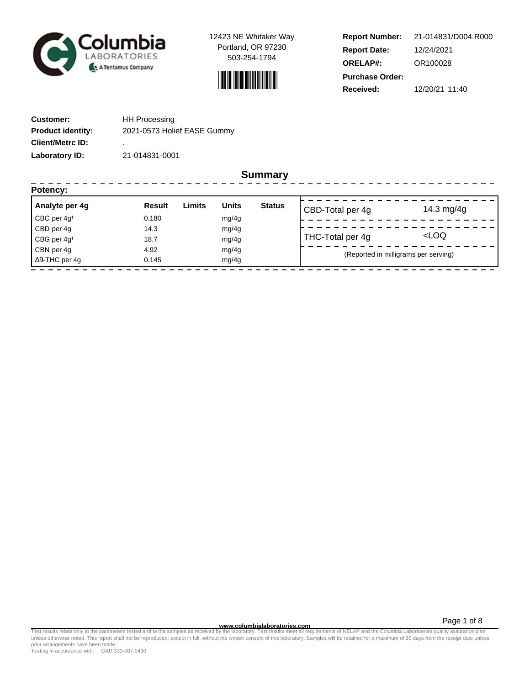

12423 NE Whitaker Way Portland, OR 97230 503-254-1794



**Report Number: Report Date: ORELAP#:** 12/24/2021 OR100028 **Received:** 12/20/21 11:40 **Purchase Order:** 21-014831/D004.R000

-------------------

| <b>Customer:</b>         | <b>HH Processing</b>        |
|--------------------------|-----------------------------|
| <b>Product identity:</b> | 2021-0573 Holief EASE Gummy |
| <b>Client/Metrc ID:</b>  | ٠                           |
| Laboratory ID:           | 21-014831-0001              |

----------------

**Summary**

| Potency:                |               |        |              |               |                                      |                     |
|-------------------------|---------------|--------|--------------|---------------|--------------------------------------|---------------------|
| Analyte per 4g          | <b>Result</b> | Limits | <b>Units</b> | <b>Status</b> | CBD-Total per 4g                     | 14.3 mg/4g          |
| CBC per 4g <sup>t</sup> | 0.180         |        | mg/4g        |               |                                      |                     |
| CBD per 4g              | 14.3          |        | mg/4g        |               |                                      |                     |
| CBG per 4g <sup>t</sup> | 18.7          |        | mg/4g        |               | THC-Total per 4g                     | <loq< td=""></loq<> |
| CBN per 4g              | 4.92          |        | mg/4g        |               | (Reported in milligrams per serving) |                     |
| $\Delta$ 9-THC per 4q   | 0.145         |        | mg/4g        |               |                                      |                     |
|                         |               |        |              |               |                                      |                     |

Page 1 of 8

www.columbialaboratories.com<br>Test results relate only to the parameters tested and to the samples as received by the laboratories metall requirements of NELAP and the Columbia Laboratories quality assurance plan<br>unless oth prior arrangements have been made.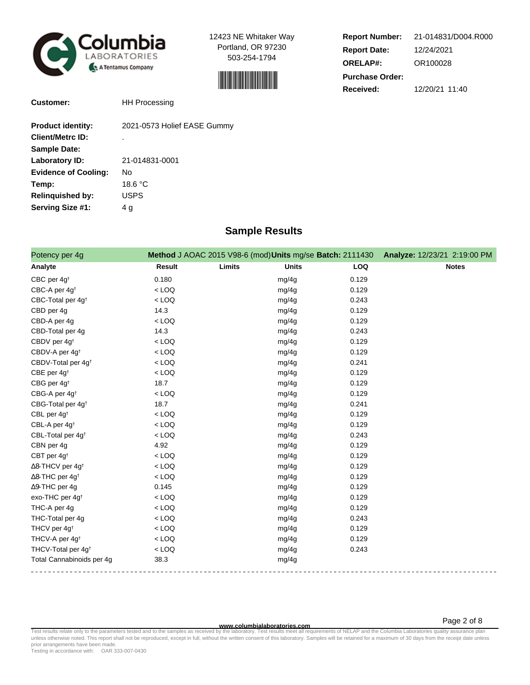

**Customer:** HH Processing

12423 NE Whitaker Way Portland, OR 97230 503-254-1794



| <b>Report Number:</b>  | 21-014831/D004.R000 |  |
|------------------------|---------------------|--|
| <b>Report Date:</b>    | 12/24/2021          |  |
| <b>ORELAP#:</b>        | OR100028            |  |
| <b>Purchase Order:</b> |                     |  |
| Received:              | 12/20/21 11:40      |  |

Page 2 of 8

| <b>Product identity:</b>    | 2021-0573 Holief EASE Gummy |
|-----------------------------|-----------------------------|
| <b>Client/Metrc ID:</b>     |                             |
| <b>Sample Date:</b>         |                             |
| Laboratory ID:              | 21-014831-0001              |
| <b>Evidence of Cooling:</b> | No                          |
| Temp:                       | 18.6 °C                     |
| <b>Relinquished by:</b>     | USPS                        |
| Serving Size #1:            | 4 g                         |

## **Sample Results**

| Potency per 4g                      |               | Method J AOAC 2015 V98-6 (mod) Units mg/se Batch: 2111430 | Analyze: 12/23/21 2:19:00 PM |              |
|-------------------------------------|---------------|-----------------------------------------------------------|------------------------------|--------------|
| Analyte                             | <b>Result</b> | Limits<br><b>Units</b>                                    | <b>LOQ</b>                   | <b>Notes</b> |
| CBC per 4g <sup>t</sup>             | 0.180         | mg/4g                                                     | 0.129                        |              |
| CBC-A per 4g <sup>t</sup>           | $<$ LOQ       | mg/4g                                                     | 0.129                        |              |
| CBC-Total per 4g <sup>+</sup>       | $<$ LOQ       | mg/4g                                                     | 0.243                        |              |
| CBD per 4g                          | 14.3          | mg/4g                                                     | 0.129                        |              |
| CBD-A per 4g                        | $<$ LOQ       | mg/4g                                                     | 0.129                        |              |
| CBD-Total per 4g                    | 14.3          | mg/4g                                                     | 0.243                        |              |
| CBDV per 4g <sup>t</sup>            | $<$ LOQ       | mg/4g                                                     | 0.129                        |              |
| CBDV-A per 4g <sup>t</sup>          | $<$ LOQ       | mg/4g                                                     | 0.129                        |              |
| CBDV-Total per 4g <sup>t</sup>      | $<$ LOQ       | mg/4g                                                     | 0.241                        |              |
| CBE per 4g <sup>t</sup>             | $<$ LOQ       | mg/4g                                                     | 0.129                        |              |
| CBG per 4g <sup>t</sup>             | 18.7          | mg/4g                                                     | 0.129                        |              |
| CBG-A per 4g <sup>+</sup>           | $<$ LOQ       | mg/4g                                                     | 0.129                        |              |
| CBG-Total per 4g <sup>+</sup>       | 18.7          | mg/4g                                                     | 0.241                        |              |
| CBL per 4g <sup>t</sup>             | $<$ LOQ       | mg/4g                                                     | 0.129                        |              |
| CBL-A per 4g <sup>t</sup>           | $<$ LOQ       | mg/4g                                                     | 0.129                        |              |
| CBL-Total per 4g <sup>+</sup>       | $<$ LOQ       | mg/4g                                                     | 0.243                        |              |
| CBN per 4g                          | 4.92          | mg/4g                                                     | 0.129                        |              |
| CBT per 4g <sup>t</sup>             | $<$ LOQ       | mg/4g                                                     | 0.129                        |              |
| $\Delta$ 8-THCV per 4g <sup>+</sup> | $<$ LOQ       | mg/4g                                                     | 0.129                        |              |
| $\Delta$ 8-THC per 4g <sup>+</sup>  | $<$ LOQ       | mg/4g                                                     | 0.129                        |              |
| $\Delta$ 9-THC per 4g               | 0.145         | mg/4g                                                     | 0.129                        |              |
| exo-THC per 4g <sup>t</sup>         | $<$ LOQ       | mg/4g                                                     | 0.129                        |              |
| THC-A per 4g                        | $<$ LOQ       | mg/4g                                                     | 0.129                        |              |
| THC-Total per 4g                    | $<$ LOQ       | mg/4g                                                     | 0.243                        |              |
| THCV per 4g <sup>t</sup>            | $<$ LOQ       | mg/4g                                                     | 0.129                        |              |
| THCV-A per 4g <sup>+</sup>          | $<$ LOQ       | mg/4g                                                     | 0.129                        |              |
| THCV-Total per 4g <sup>+</sup>      | $<$ LOQ       | mg/4g                                                     | 0.243                        |              |
| Total Cannabinoids per 4g           | 38.3          | mg/4g                                                     |                              |              |

**www.columbialaboratories.com** Test results relate only to the parameters tested and to the samples as received by the laboratory. Test results meet all requirements of NELAP and the Columbia Laboratories quality assurance plan<br>unless otherwise noted. T